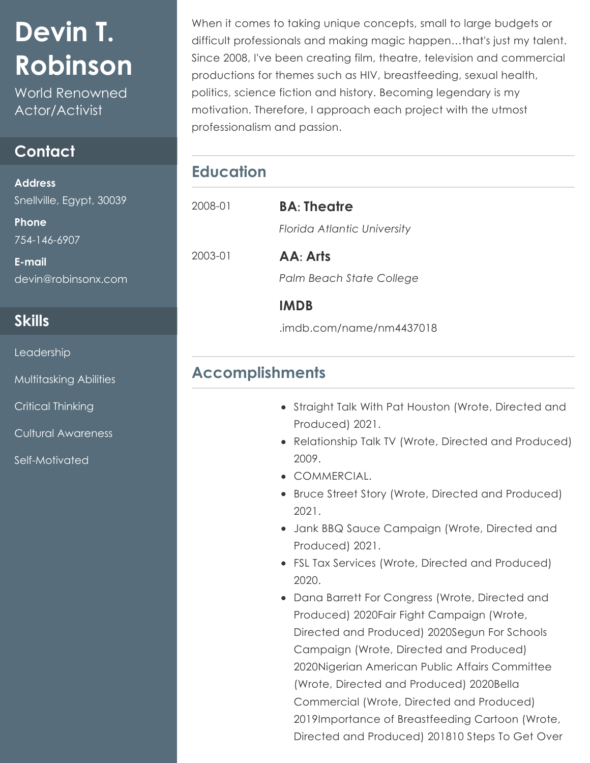# **Devin T. Robinson**

World Renowned Actor/Activist

### **Contact**

**Address** Snellville, Egypt, 30039

**Phone** 754-146-6907

**E-mail** devin@robinsonx.com

#### **Skills**

Leadership

Multitasking Abilities

Critical Thinking

Cultural Awareness

Self-Motivated

When it comes to taking unique concepts, small to large budgets or difficult professionals and making magic happen…that's just my talent. Since 2008, I've been creating film, theatre, television and commercial productions for themes such as HIV, breastfeeding, sexual health, politics, science fiction and history. Becoming legendary is my motivation. Therefore, I approach each project with the utmost professionalism and passion.

# **Education**

| 2008-01 | <b>BA</b> : Theatre         |
|---------|-----------------------------|
|         | Florida Atlantic University |
| 2003-01 | AA: Arts                    |
|         | Palm Beach State College    |
|         | <b>IMDB</b>                 |
|         | .imdb.com/name/nm4437018    |

## **Accomplishments**

- Straight Talk With Pat Houston (Wrote, Directed and Produced) 2021.
- Relationship Talk TV (Wrote, Directed and Produced) 2009.
- COMMERCIAL.
- Bruce Street Story (Wrote, Directed and Produced) 2021.
- Jank BBQ Sauce Campaign (Wrote, Directed and Produced) 2021.
- FSL Tax Services (Wrote, Directed and Produced) 2020.
- Dana Barrett For Congress (Wrote, Directed and Produced) 2020Fair Fight Campaign (Wrote, Directed and Produced) 2020Segun For Schools Campaign (Wrote, Directed and Produced) 2020Nigerian American Public Affairs Committee (Wrote, Directed and Produced) 2020Bella Commercial (Wrote, Directed and Produced) 2019Importance of Breastfeeding Cartoon (Wrote, Directed and Produced) 201810 Steps To Get Over